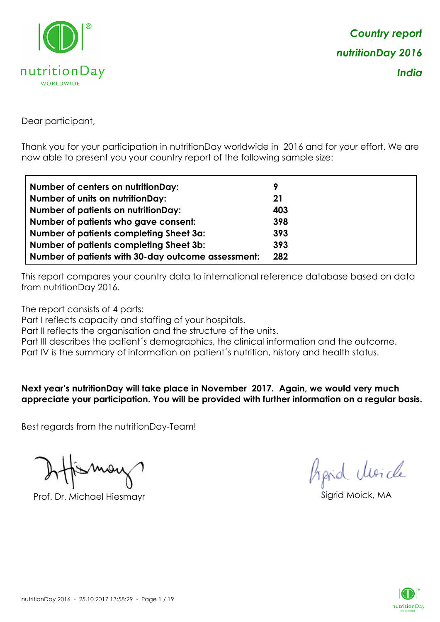

Dear participant,

Thank you for your participation in nutritionDay worldwide in 2016 and for your effort. We are now able to present you your country report of the following sample size:

| Number of centers on nutritionDay:                 | 9   |
|----------------------------------------------------|-----|
| <b>Number of units on nutritionDay:</b>            | 21  |
| <b>Number of patients on nutritionDay:</b>         | 403 |
| Number of patients who gave consent:               | 398 |
| Number of patients completing Sheet 3a:            | 393 |
| <b>Number of patients completing Sheet 3b:</b>     | 393 |
| Number of patients with 30-day outcome assessment: | 282 |

This report compares your country data to international reference database based on data from nutritionDay 2016.

The report consists of 4 parts:

Part I reflects capacity and staffing of your hospitals.

Part II reflects the organisation and the structure of the units.

Part III describes the patient's demographics, the clinical information and the outcome.

Part IV is the summary of information on patient´s nutrition, history and health status.

**Next year's nutritionDay will take place in November 2017. Again, we would very much appreciate your participation. You will be provided with further information on a regular basis.**

Best regards from the nutritionDay-Team!

Prof. Dr. Michael Hiesmayr Sigrid Moick, MA

*Prpid cleacle* 

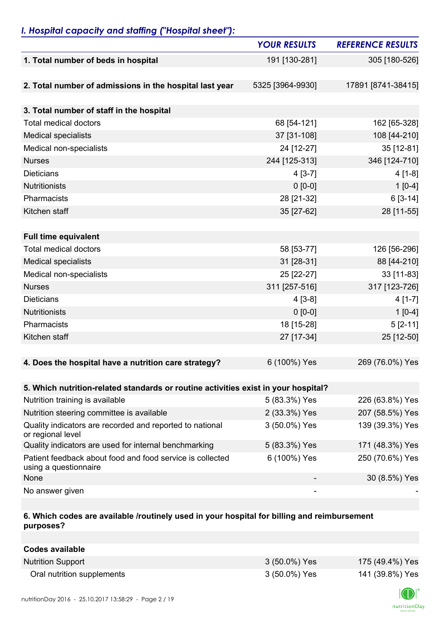## *I. Hospital capacity and staffing ("Hospital sheet"):*

|                                                                                    | <b>YOUR RESULTS</b> | <b>REFERENCE RESULTS</b> |
|------------------------------------------------------------------------------------|---------------------|--------------------------|
| 1. Total number of beds in hospital                                                | 191 [130-281]       | 305 [180-526]            |
|                                                                                    |                     |                          |
| 2. Total number of admissions in the hospital last year                            | 5325 [3964-9930]    | 17891 [8741-38415]       |
|                                                                                    |                     |                          |
| 3. Total number of staff in the hospital                                           |                     |                          |
| <b>Total medical doctors</b>                                                       | 68 [54-121]         | 162 [65-328]             |
| <b>Medical specialists</b>                                                         | 37 [31-108]         | 108 [44-210]             |
| Medical non-specialists                                                            | 24 [12-27]          | 35 [12-81]               |
| <b>Nurses</b>                                                                      | 244 [125-313]       | 346 [124-710]            |
| <b>Dieticians</b>                                                                  | $4[3-7]$            | $4[1-8]$                 |
| <b>Nutritionists</b>                                                               | $0 [0-0]$           | $1[0-4]$                 |
| Pharmacists                                                                        | 28 [21-32]          | $6[3-14]$                |
| Kitchen staff                                                                      | 35 [27-62]          | 28 [11-55]               |
|                                                                                    |                     |                          |
| <b>Full time equivalent</b>                                                        |                     |                          |
| <b>Total medical doctors</b>                                                       | 58 [53-77]          | 126 [56-296]             |
| <b>Medical specialists</b>                                                         | 31 [28-31]          | 88 [44-210]              |
| Medical non-specialists                                                            | 25 [22-27]          | 33 [11-83]               |
| <b>Nurses</b>                                                                      | 311 [257-516]       | 317 [123-726]            |
| <b>Dieticians</b>                                                                  | $4[3-8]$            | $4[1-7]$                 |
| <b>Nutritionists</b>                                                               | $0 [0-0]$           | $1[0-4]$                 |
| Pharmacists                                                                        | 18 [15-28]          | $5[2-11]$                |
| Kitchen staff                                                                      | 27 [17-34]          | 25 [12-50]               |
|                                                                                    |                     |                          |
| 4. Does the hospital have a nutrition care strategy?                               | 6 (100%) Yes        | 269 (76.0%) Yes          |
|                                                                                    |                     |                          |
| 5. Which nutrition-related standards or routine activities exist in your hospital? |                     |                          |
| Nutrition training is available                                                    | 5 (83.3%) Yes       | 226 (63.8%) Yes          |
| Nutrition steering committee is available                                          | 2 (33.3%) Yes       | 207 (58.5%) Yes          |
| Quality indicators are recorded and reported to national<br>or regional level      | 3 (50.0%) Yes       | 139 (39.3%) Yes          |
| Quality indicators are used for internal benchmarking                              | 5 (83.3%) Yes       | 171 (48.3%) Yes          |
| Patient feedback about food and food service is collected<br>using a questionnaire | 6 (100%) Yes        | 250 (70.6%) Yes          |
| None                                                                               |                     | 30 (8.5%) Yes            |
| No answer given                                                                    | -                   |                          |

## **6. Which codes are available /routinely used in your hospital for billing and reimbursement purposes?**

| Codes available            |               |                 |
|----------------------------|---------------|-----------------|
| <b>Nutrition Support</b>   | 3 (50.0%) Yes | 175 (49.4%) Yes |
| Oral nutrition supplements | 3 (50.0%) Yes | 141 (39.8%) Yes |

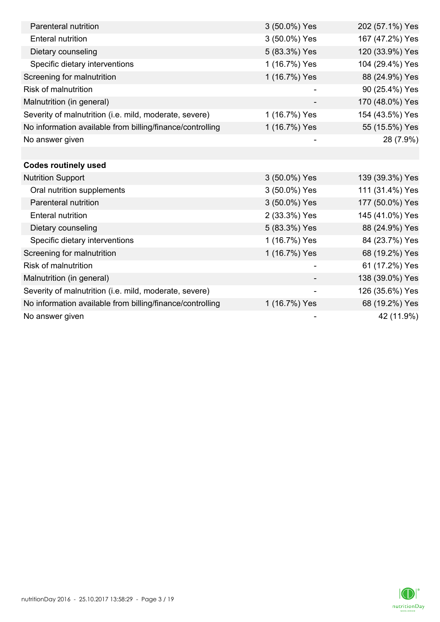| Parenteral nutrition                                      | 3 (50.0%) Yes | 202 (57.1%) Yes |
|-----------------------------------------------------------|---------------|-----------------|
|                                                           |               |                 |
| <b>Enteral nutrition</b>                                  | 3 (50.0%) Yes | 167 (47.2%) Yes |
| Dietary counseling                                        | 5 (83.3%) Yes | 120 (33.9%) Yes |
| Specific dietary interventions                            | 1 (16.7%) Yes | 104 (29.4%) Yes |
| Screening for malnutrition                                | 1 (16.7%) Yes | 88 (24.9%) Yes  |
| Risk of malnutrition                                      |               | 90 (25.4%) Yes  |
| Malnutrition (in general)                                 |               | 170 (48.0%) Yes |
| Severity of malnutrition (i.e. mild, moderate, severe)    | 1 (16.7%) Yes | 154 (43.5%) Yes |
| No information available from billing/finance/controlling | 1 (16.7%) Yes | 55 (15.5%) Yes  |
| No answer given                                           |               | 28 (7.9%)       |
|                                                           |               |                 |
| <b>Codes routinely used</b>                               |               |                 |
| <b>Nutrition Support</b>                                  | 3 (50.0%) Yes | 139 (39.3%) Yes |
| Oral nutrition supplements                                | 3 (50.0%) Yes | 111 (31.4%) Yes |
| Parenteral nutrition                                      | 3 (50.0%) Yes | 177 (50.0%) Yes |
| <b>Enteral nutrition</b>                                  | 2 (33.3%) Yes | 145 (41.0%) Yes |
| Dietary counseling                                        | 5 (83.3%) Yes | 88 (24.9%) Yes  |
| Specific dietary interventions                            | 1 (16.7%) Yes | 84 (23.7%) Yes  |
| Screening for malnutrition                                | 1 (16.7%) Yes | 68 (19.2%) Yes  |
| <b>Risk of malnutrition</b>                               |               | 61 (17.2%) Yes  |
| Malnutrition (in general)                                 |               | 138 (39.0%) Yes |
| Severity of malnutrition (i.e. mild, moderate, severe)    | -             | 126 (35.6%) Yes |
| No information available from billing/finance/controlling | 1 (16.7%) Yes | 68 (19.2%) Yes  |
| No answer given                                           |               | 42 (11.9%)      |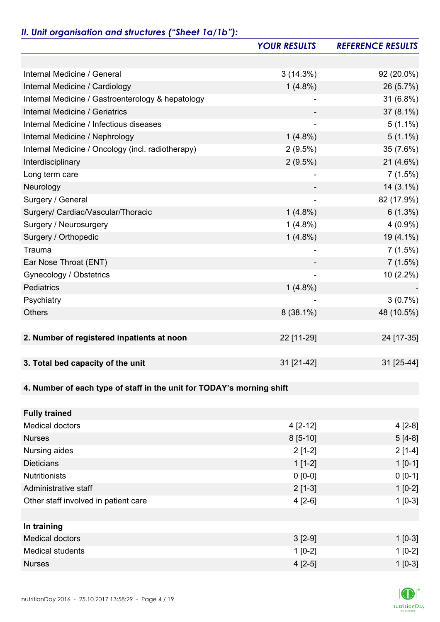## *II. Unit organisation and structures ("Sheet 1a/1b"):*

|                                                                       | <b>YOUR RESULTS</b>          | <b>REFERENCE RESULTS</b> |
|-----------------------------------------------------------------------|------------------------------|--------------------------|
|                                                                       |                              |                          |
| Internal Medicine / General                                           | 3(14.3%)                     | 92 (20.0%)               |
| Internal Medicine / Cardiology                                        | $1(4.8\%)$                   | 26 (5.7%)                |
| Internal Medicine / Gastroenterology & hepatology                     |                              | 31 (6.8%)                |
| Internal Medicine / Geriatrics                                        |                              | $37(8.1\%)$              |
| Internal Medicine / Infectious diseases                               |                              | $5(1.1\%)$               |
| Internal Medicine / Nephrology                                        | $1(4.8\%)$                   | $5(1.1\%)$               |
| Internal Medicine / Oncology (incl. radiotherapy)                     | $2(9.5\%)$                   | 35 (7.6%)                |
| Interdisciplinary                                                     | $2(9.5\%)$                   | $21(4.6\%)$              |
| Long term care                                                        |                              | 7(1.5%)                  |
| Neurology                                                             |                              | $14(3.1\%)$              |
| Surgery / General                                                     | $\qquad \qquad \blacksquare$ | 82 (17.9%)               |
| Surgery/ Cardiac/Vascular/Thoracic                                    | $1(4.8\%)$                   | $6(1.3\%)$               |
| Surgery / Neurosurgery                                                | $1(4.8\%)$                   | $4(0.9\%)$               |
| Surgery / Orthopedic                                                  | $1(4.8\%)$                   | $19(4.1\%)$              |
| Trauma                                                                |                              | 7(1.5%)                  |
| Ear Nose Throat (ENT)                                                 |                              | 7(1.5%)                  |
| Gynecology / Obstetrics                                               |                              | 10 (2.2%)                |
| Pediatrics                                                            | $1(4.8\%)$                   |                          |
| Psychiatry                                                            |                              | 3(0.7%)                  |
| <b>Others</b>                                                         | $8(38.1\%)$                  | 48 (10.5%)               |
|                                                                       |                              |                          |
| 2. Number of registered inpatients at noon                            | 22 [11-29]                   | 24 [17-35]               |
|                                                                       |                              |                          |
| 3. Total bed capacity of the unit                                     | 31 [21-42]                   | 31 [25-44]               |
|                                                                       |                              |                          |
| 4. Number of each type of staff in the unit for TODAY's morning shift |                              |                          |
|                                                                       |                              |                          |
| <b>Fully trained</b>                                                  |                              |                          |
| <b>Medical doctors</b>                                                | $4[2-12]$                    | $4[2-8]$                 |
| <b>Nurses</b>                                                         | $8[5-10]$                    | $5[4-8]$                 |
| Nursing aides                                                         | $2[1-2]$                     | $2[1-4]$                 |
| <b>Dieticians</b>                                                     | $1[1-2]$                     | $1 [0-1]$                |
| <b>Nutritionists</b>                                                  | $0 [0-0]$                    | $0 [0-1]$                |
| Administrative staff                                                  | $2[1-3]$                     | $1[0-2]$                 |
| Other staff involved in patient care                                  | $4[2-6]$                     | $1[0-3]$                 |
|                                                                       |                              |                          |
| In training                                                           |                              |                          |
| <b>Medical doctors</b>                                                | $3[2-9]$                     | $1 [0-3]$                |
| <b>Medical students</b>                                               | $1[0-2]$                     | $1[0-2]$                 |
| <b>Nurses</b>                                                         | $4[2-5]$                     | $1[0-3]$                 |

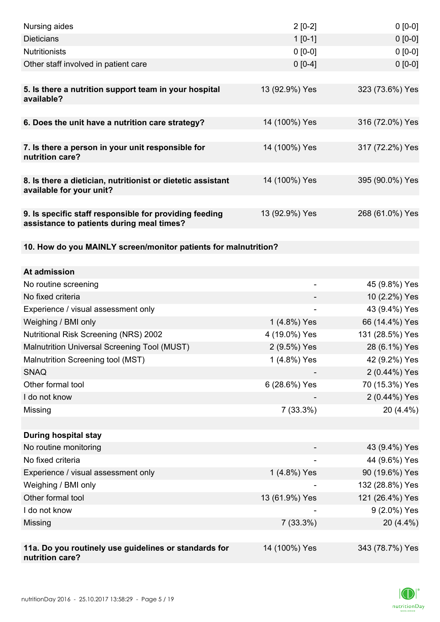| Nursing aides                                                                                       | $2[0-2]$                      | $0[0-0]$                          |
|-----------------------------------------------------------------------------------------------------|-------------------------------|-----------------------------------|
| <b>Dieticians</b>                                                                                   | $1 [0-1]$                     | $0 [0-0]$                         |
| <b>Nutritionists</b>                                                                                | $0 [0-0]$                     | $0 [0-0]$                         |
| Other staff involved in patient care                                                                | $0 [0-4]$                     | $0 [0-0]$                         |
|                                                                                                     |                               |                                   |
| 5. Is there a nutrition support team in your hospital<br>available?                                 | 13 (92.9%) Yes                | 323 (73.6%) Yes                   |
| 6. Does the unit have a nutrition care strategy?                                                    | 14 (100%) Yes                 | 316 (72.0%) Yes                   |
| 7. Is there a person in your unit responsible for<br>nutrition care?                                | 14 (100%) Yes                 | 317 (72.2%) Yes                   |
| 8. Is there a dietician, nutritionist or dietetic assistant                                         | 14 (100%) Yes                 | 395 (90.0%) Yes                   |
| available for your unit?                                                                            |                               |                                   |
| 9. Is specific staff responsible for providing feeding<br>assistance to patients during meal times? | 13 (92.9%) Yes                | 268 (61.0%) Yes                   |
| 10. How do you MAINLY screen/monitor patients for malnutrition?                                     |                               |                                   |
|                                                                                                     |                               |                                   |
| At admission                                                                                        |                               |                                   |
| No routine screening                                                                                | $\overline{a}$                | 45 (9.8%) Yes                     |
| No fixed criteria                                                                                   |                               | 10 (2.2%) Yes                     |
| Experience / visual assessment only                                                                 |                               | 43 (9.4%) Yes                     |
| Weighing / BMI only                                                                                 | 1 (4.8%) Yes<br>4 (19.0%) Yes | 66 (14.4%) Yes<br>131 (28.5%) Yes |
| <b>Nutritional Risk Screening (NRS) 2002</b><br>Malnutrition Universal Screening Tool (MUST)        | 2 (9.5%) Yes                  | 28 (6.1%) Yes                     |
| Malnutrition Screening tool (MST)                                                                   | 1 (4.8%) Yes                  | 42 (9.2%) Yes                     |
| <b>SNAQ</b>                                                                                         |                               | 2 (0.44%) Yes                     |
| Other formal tool                                                                                   | 6 (28.6%) Yes                 | 70 (15.3%) Yes                    |
| I do not know                                                                                       |                               | 2 (0.44%) Yes                     |
| Missing                                                                                             | 7(33.3%)                      | 20 (4.4%)                         |
|                                                                                                     |                               |                                   |
| <b>During hospital stay</b>                                                                         |                               |                                   |
| No routine monitoring                                                                               |                               | 43 (9.4%) Yes                     |
| No fixed criteria                                                                                   |                               | 44 (9.6%) Yes                     |
| Experience / visual assessment only                                                                 | 1 (4.8%) Yes                  | 90 (19.6%) Yes                    |
| Weighing / BMI only                                                                                 |                               | 132 (28.8%) Yes                   |
| Other formal tool                                                                                   | 13 (61.9%) Yes                | 121 (26.4%) Yes                   |
| I do not know                                                                                       |                               | 9 (2.0%) Yes                      |
| Missing                                                                                             | $7(33.3\%)$                   | 20 (4.4%)                         |
|                                                                                                     |                               |                                   |
| 11a. Do you routinely use guidelines or standards for<br>nutrition care?                            | 14 (100%) Yes                 | 343 (78.7%) Yes                   |

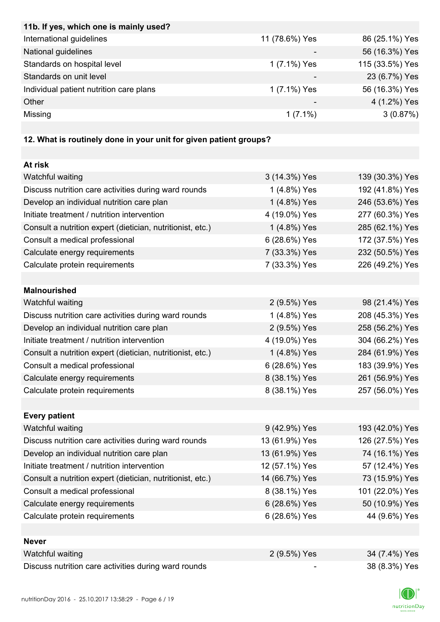| International guidelines<br>11 (78.6%) Yes<br>86 (25.1%) Yes<br>National guidelines<br>56 (16.3%) Yes<br>Standards on hospital level<br>1 (7.1%) Yes<br>Standards on unit level<br>23 (6.7%) Yes<br>Individual patient nutrition care plans<br>1 (7.1%) Yes<br>56 (16.3%) Yes<br>Other<br>4 (1.2%) Yes<br>3(0.87%)<br>Missing<br>$1(7.1\%)$<br>12. What is routinely done in your unit for given patient groups?<br>At risk<br>Watchful waiting<br>3 (14.3%) Yes<br>Discuss nutrition care activities during ward rounds<br>1 (4.8%) Yes<br>192 (41.8%) Yes<br>Develop an individual nutrition care plan<br>1 (4.8%) Yes<br>246 (53.6%) Yes<br>Initiate treatment / nutrition intervention<br>4 (19.0%) Yes<br>277 (60.3%) Yes<br>Consult a nutrition expert (dietician, nutritionist, etc.)<br>1 (4.8%) Yes<br>285 (62.1%) Yes<br>6 (28.6%) Yes<br>Consult a medical professional<br>172 (37.5%) Yes<br>Calculate energy requirements<br>7 (33.3%) Yes<br>232 (50.5%) Yes<br>Calculate protein requirements<br>7 (33.3%) Yes<br>226 (49.2%) Yes<br><b>Malnourished</b><br>Watchful waiting<br>98 (21.4%) Yes<br>2 (9.5%) Yes |
|-------------------------------------------------------------------------------------------------------------------------------------------------------------------------------------------------------------------------------------------------------------------------------------------------------------------------------------------------------------------------------------------------------------------------------------------------------------------------------------------------------------------------------------------------------------------------------------------------------------------------------------------------------------------------------------------------------------------------------------------------------------------------------------------------------------------------------------------------------------------------------------------------------------------------------------------------------------------------------------------------------------------------------------------------------------------------------------------------------------------------------|
| 115 (33.5%) Yes<br>139 (30.3%) Yes                                                                                                                                                                                                                                                                                                                                                                                                                                                                                                                                                                                                                                                                                                                                                                                                                                                                                                                                                                                                                                                                                            |
|                                                                                                                                                                                                                                                                                                                                                                                                                                                                                                                                                                                                                                                                                                                                                                                                                                                                                                                                                                                                                                                                                                                               |
|                                                                                                                                                                                                                                                                                                                                                                                                                                                                                                                                                                                                                                                                                                                                                                                                                                                                                                                                                                                                                                                                                                                               |
|                                                                                                                                                                                                                                                                                                                                                                                                                                                                                                                                                                                                                                                                                                                                                                                                                                                                                                                                                                                                                                                                                                                               |
|                                                                                                                                                                                                                                                                                                                                                                                                                                                                                                                                                                                                                                                                                                                                                                                                                                                                                                                                                                                                                                                                                                                               |
|                                                                                                                                                                                                                                                                                                                                                                                                                                                                                                                                                                                                                                                                                                                                                                                                                                                                                                                                                                                                                                                                                                                               |
|                                                                                                                                                                                                                                                                                                                                                                                                                                                                                                                                                                                                                                                                                                                                                                                                                                                                                                                                                                                                                                                                                                                               |
|                                                                                                                                                                                                                                                                                                                                                                                                                                                                                                                                                                                                                                                                                                                                                                                                                                                                                                                                                                                                                                                                                                                               |
|                                                                                                                                                                                                                                                                                                                                                                                                                                                                                                                                                                                                                                                                                                                                                                                                                                                                                                                                                                                                                                                                                                                               |
|                                                                                                                                                                                                                                                                                                                                                                                                                                                                                                                                                                                                                                                                                                                                                                                                                                                                                                                                                                                                                                                                                                                               |
|                                                                                                                                                                                                                                                                                                                                                                                                                                                                                                                                                                                                                                                                                                                                                                                                                                                                                                                                                                                                                                                                                                                               |
|                                                                                                                                                                                                                                                                                                                                                                                                                                                                                                                                                                                                                                                                                                                                                                                                                                                                                                                                                                                                                                                                                                                               |
|                                                                                                                                                                                                                                                                                                                                                                                                                                                                                                                                                                                                                                                                                                                                                                                                                                                                                                                                                                                                                                                                                                                               |
|                                                                                                                                                                                                                                                                                                                                                                                                                                                                                                                                                                                                                                                                                                                                                                                                                                                                                                                                                                                                                                                                                                                               |
|                                                                                                                                                                                                                                                                                                                                                                                                                                                                                                                                                                                                                                                                                                                                                                                                                                                                                                                                                                                                                                                                                                                               |
|                                                                                                                                                                                                                                                                                                                                                                                                                                                                                                                                                                                                                                                                                                                                                                                                                                                                                                                                                                                                                                                                                                                               |
|                                                                                                                                                                                                                                                                                                                                                                                                                                                                                                                                                                                                                                                                                                                                                                                                                                                                                                                                                                                                                                                                                                                               |
|                                                                                                                                                                                                                                                                                                                                                                                                                                                                                                                                                                                                                                                                                                                                                                                                                                                                                                                                                                                                                                                                                                                               |
|                                                                                                                                                                                                                                                                                                                                                                                                                                                                                                                                                                                                                                                                                                                                                                                                                                                                                                                                                                                                                                                                                                                               |
|                                                                                                                                                                                                                                                                                                                                                                                                                                                                                                                                                                                                                                                                                                                                                                                                                                                                                                                                                                                                                                                                                                                               |
|                                                                                                                                                                                                                                                                                                                                                                                                                                                                                                                                                                                                                                                                                                                                                                                                                                                                                                                                                                                                                                                                                                                               |
|                                                                                                                                                                                                                                                                                                                                                                                                                                                                                                                                                                                                                                                                                                                                                                                                                                                                                                                                                                                                                                                                                                                               |
| Discuss nutrition care activities during ward rounds<br>1 (4.8%) Yes<br>208 (45.3%) Yes                                                                                                                                                                                                                                                                                                                                                                                                                                                                                                                                                                                                                                                                                                                                                                                                                                                                                                                                                                                                                                       |
| Develop an individual nutrition care plan<br>2 (9.5%) Yes<br>258 (56.2%) Yes                                                                                                                                                                                                                                                                                                                                                                                                                                                                                                                                                                                                                                                                                                                                                                                                                                                                                                                                                                                                                                                  |
| Initiate treatment / nutrition intervention<br>4 (19.0%) Yes<br>304 (66.2%) Yes                                                                                                                                                                                                                                                                                                                                                                                                                                                                                                                                                                                                                                                                                                                                                                                                                                                                                                                                                                                                                                               |
| Consult a nutrition expert (dietician, nutritionist, etc.)<br>284 (61.9%) Yes<br>1 (4.8%) Yes                                                                                                                                                                                                                                                                                                                                                                                                                                                                                                                                                                                                                                                                                                                                                                                                                                                                                                                                                                                                                                 |
| Consult a medical professional<br>6 (28.6%) Yes<br>183 (39.9%) Yes                                                                                                                                                                                                                                                                                                                                                                                                                                                                                                                                                                                                                                                                                                                                                                                                                                                                                                                                                                                                                                                            |
| Calculate energy requirements<br>8 (38.1%) Yes<br>261 (56.9%) Yes                                                                                                                                                                                                                                                                                                                                                                                                                                                                                                                                                                                                                                                                                                                                                                                                                                                                                                                                                                                                                                                             |
| 8 (38.1%) Yes<br>257 (56.0%) Yes<br>Calculate protein requirements                                                                                                                                                                                                                                                                                                                                                                                                                                                                                                                                                                                                                                                                                                                                                                                                                                                                                                                                                                                                                                                            |
|                                                                                                                                                                                                                                                                                                                                                                                                                                                                                                                                                                                                                                                                                                                                                                                                                                                                                                                                                                                                                                                                                                                               |
| <b>Every patient</b>                                                                                                                                                                                                                                                                                                                                                                                                                                                                                                                                                                                                                                                                                                                                                                                                                                                                                                                                                                                                                                                                                                          |
| Watchful waiting<br>9 (42.9%) Yes<br>193 (42.0%) Yes                                                                                                                                                                                                                                                                                                                                                                                                                                                                                                                                                                                                                                                                                                                                                                                                                                                                                                                                                                                                                                                                          |
| Discuss nutrition care activities during ward rounds<br>13 (61.9%) Yes<br>126 (27.5%) Yes                                                                                                                                                                                                                                                                                                                                                                                                                                                                                                                                                                                                                                                                                                                                                                                                                                                                                                                                                                                                                                     |
| Develop an individual nutrition care plan<br>13 (61.9%) Yes<br>74 (16.1%) Yes                                                                                                                                                                                                                                                                                                                                                                                                                                                                                                                                                                                                                                                                                                                                                                                                                                                                                                                                                                                                                                                 |
| Initiate treatment / nutrition intervention<br>12 (57.1%) Yes<br>57 (12.4%) Yes                                                                                                                                                                                                                                                                                                                                                                                                                                                                                                                                                                                                                                                                                                                                                                                                                                                                                                                                                                                                                                               |
| Consult a nutrition expert (dietician, nutritionist, etc.)<br>14 (66.7%) Yes<br>73 (15.9%) Yes                                                                                                                                                                                                                                                                                                                                                                                                                                                                                                                                                                                                                                                                                                                                                                                                                                                                                                                                                                                                                                |
| Consult a medical professional<br>8 (38.1%) Yes<br>101 (22.0%) Yes                                                                                                                                                                                                                                                                                                                                                                                                                                                                                                                                                                                                                                                                                                                                                                                                                                                                                                                                                                                                                                                            |
| 50 (10.9%) Yes<br>Calculate energy requirements<br>6 (28.6%) Yes                                                                                                                                                                                                                                                                                                                                                                                                                                                                                                                                                                                                                                                                                                                                                                                                                                                                                                                                                                                                                                                              |
| 44 (9.6%) Yes<br>Calculate protein requirements<br>6 (28.6%) Yes                                                                                                                                                                                                                                                                                                                                                                                                                                                                                                                                                                                                                                                                                                                                                                                                                                                                                                                                                                                                                                                              |
|                                                                                                                                                                                                                                                                                                                                                                                                                                                                                                                                                                                                                                                                                                                                                                                                                                                                                                                                                                                                                                                                                                                               |
| <b>Never</b>                                                                                                                                                                                                                                                                                                                                                                                                                                                                                                                                                                                                                                                                                                                                                                                                                                                                                                                                                                                                                                                                                                                  |
| Watchful waiting<br>2 (9.5%) Yes<br>34 (7.4%) Yes                                                                                                                                                                                                                                                                                                                                                                                                                                                                                                                                                                                                                                                                                                                                                                                                                                                                                                                                                                                                                                                                             |
| Discuss nutrition care activities during ward rounds<br>38 (8.3%) Yes                                                                                                                                                                                                                                                                                                                                                                                                                                                                                                                                                                                                                                                                                                                                                                                                                                                                                                                                                                                                                                                         |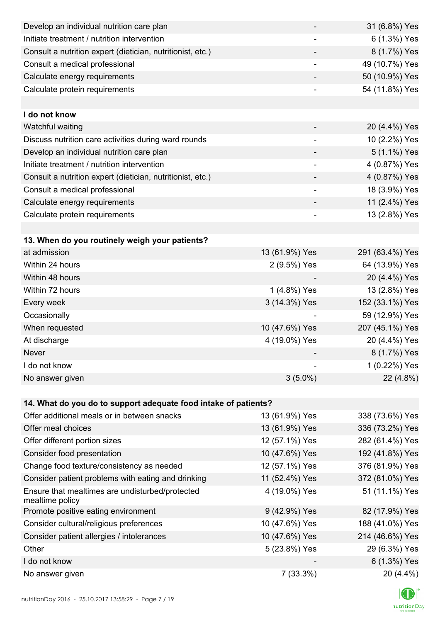| Develop an individual nutrition care plan                          |                              | 31 (6.8%) Yes   |
|--------------------------------------------------------------------|------------------------------|-----------------|
| Initiate treatment / nutrition intervention                        |                              | 6 (1.3%) Yes    |
| Consult a nutrition expert (dietician, nutritionist, etc.)         |                              | 8 (1.7%) Yes    |
| Consult a medical professional                                     | $\overline{\phantom{a}}$     | 49 (10.7%) Yes  |
| Calculate energy requirements                                      | -                            | 50 (10.9%) Yes  |
| Calculate protein requirements                                     |                              | 54 (11.8%) Yes  |
|                                                                    |                              |                 |
| I do not know                                                      |                              |                 |
| Watchful waiting                                                   |                              | 20 (4.4%) Yes   |
| Discuss nutrition care activities during ward rounds               | $\qquad \qquad \blacksquare$ | 10 (2.2%) Yes   |
| Develop an individual nutrition care plan                          |                              | 5 (1.1%) Yes    |
| Initiate treatment / nutrition intervention                        |                              | 4 (0.87%) Yes   |
| Consult a nutrition expert (dietician, nutritionist, etc.)         |                              | 4 (0.87%) Yes   |
| Consult a medical professional                                     |                              | 18 (3.9%) Yes   |
| Calculate energy requirements                                      |                              | 11 (2.4%) Yes   |
| Calculate protein requirements                                     | $\overline{\phantom{0}}$     | 13 (2.8%) Yes   |
|                                                                    |                              |                 |
| 13. When do you routinely weigh your patients?                     |                              |                 |
| at admission                                                       | 13 (61.9%) Yes               | 291 (63.4%) Yes |
| Within 24 hours                                                    | 2 (9.5%) Yes                 | 64 (13.9%) Yes  |
| Within 48 hours                                                    |                              | 20 (4.4%) Yes   |
| Within 72 hours                                                    | 1 (4.8%) Yes                 | 13 (2.8%) Yes   |
| Every week                                                         | 3 (14.3%) Yes                | 152 (33.1%) Yes |
| Occasionally                                                       |                              | 59 (12.9%) Yes  |
| When requested                                                     | 10 (47.6%) Yes               | 207 (45.1%) Yes |
| At discharge                                                       | 4 (19.0%) Yes                | 20 (4.4%) Yes   |
| Never                                                              |                              | 8 (1.7%) Yes    |
| I do not know                                                      |                              | 1 (0.22%) Yes   |
| No answer given                                                    | $3(5.0\%)$                   | 22 (4.8%)       |
|                                                                    |                              |                 |
| 14. What do you do to support adequate food intake of patients?    |                              |                 |
| Offer additional meals or in between snacks                        | 13 (61.9%) Yes               | 338 (73.6%) Yes |
| Offer meal choices                                                 | 13 (61.9%) Yes               | 336 (73.2%) Yes |
| Offer different portion sizes                                      | 12 (57.1%) Yes               | 282 (61.4%) Yes |
| Consider food presentation                                         | 10 (47.6%) Yes               | 192 (41.8%) Yes |
| Change food texture/consistency as needed                          | 12 (57.1%) Yes               | 376 (81.9%) Yes |
| Consider patient problems with eating and drinking                 | 11 (52.4%) Yes               | 372 (81.0%) Yes |
| Ensure that mealtimes are undisturbed/protected<br>mealtime policy | 4 (19.0%) Yes                | 51 (11.1%) Yes  |
| Promote positive eating environment                                | 9 (42.9%) Yes                | 82 (17.9%) Yes  |
| Consider cultural/religious preferences                            | 10 (47.6%) Yes               | 188 (41.0%) Yes |
| Consider patient allergies / intolerances                          | 10 (47.6%) Yes               | 214 (46.6%) Yes |
| Other                                                              | 5 (23.8%) Yes                | 29 (6.3%) Yes   |
| I do not know                                                      |                              | 6 (1.3%) Yes    |
| No answer given                                                    | 7(33.3%)                     | 20 (4.4%)       |

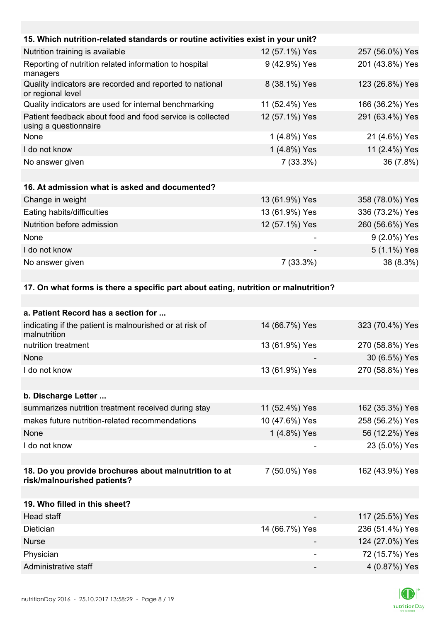| 15. Which nutrition-related standards or routine activities exist in your unit?     |                |                 |
|-------------------------------------------------------------------------------------|----------------|-----------------|
| Nutrition training is available                                                     | 12 (57.1%) Yes | 257 (56.0%) Yes |
| Reporting of nutrition related information to hospital<br>managers                  | 9 (42.9%) Yes  | 201 (43.8%) Yes |
| Quality indicators are recorded and reported to national<br>or regional level       | 8 (38.1%) Yes  | 123 (26.8%) Yes |
| Quality indicators are used for internal benchmarking                               | 11 (52.4%) Yes | 166 (36.2%) Yes |
| Patient feedback about food and food service is collected<br>using a questionnaire  | 12 (57.1%) Yes | 291 (63.4%) Yes |
| None                                                                                | 1 (4.8%) Yes   | 21 (4.6%) Yes   |
| I do not know                                                                       | 1 (4.8%) Yes   | 11 (2.4%) Yes   |
| No answer given                                                                     | $7(33.3\%)$    | 36 (7.8%)       |
|                                                                                     |                |                 |
| 16. At admission what is asked and documented?                                      |                |                 |
| Change in weight                                                                    | 13 (61.9%) Yes | 358 (78.0%) Yes |
| Eating habits/difficulties                                                          | 13 (61.9%) Yes | 336 (73.2%) Yes |
| Nutrition before admission                                                          | 12 (57.1%) Yes | 260 (56.6%) Yes |
| None                                                                                |                | 9 (2.0%) Yes    |
| I do not know                                                                       |                | 5 (1.1%) Yes    |
| No answer given                                                                     | 7(33.3%)       | 38 (8.3%)       |
|                                                                                     |                |                 |
| 17. On what forms is there a specific part about eating, nutrition or malnutrition? |                |                 |

| a. Patient Record has a section for                                                  |                |                 |
|--------------------------------------------------------------------------------------|----------------|-----------------|
| indicating if the patient is malnourished or at risk of<br>malnutrition              | 14 (66.7%) Yes | 323 (70.4%) Yes |
| nutrition treatment                                                                  | 13 (61.9%) Yes | 270 (58.8%) Yes |
| None                                                                                 |                | 30 (6.5%) Yes   |
| I do not know                                                                        | 13 (61.9%) Yes | 270 (58.8%) Yes |
|                                                                                      |                |                 |
| b. Discharge Letter                                                                  |                |                 |
| summarizes nutrition treatment received during stay                                  | 11 (52.4%) Yes | 162 (35.3%) Yes |
| makes future nutrition-related recommendations                                       | 10 (47.6%) Yes | 258 (56.2%) Yes |
| None                                                                                 | 1 (4.8%) Yes   | 56 (12.2%) Yes  |
| I do not know                                                                        |                | 23 (5.0%) Yes   |
|                                                                                      |                |                 |
| 18. Do you provide brochures about malnutrition to at<br>risk/malnourished patients? | 7 (50.0%) Yes  | 162 (43.9%) Yes |
|                                                                                      |                |                 |
| 19. Who filled in this sheet?                                                        |                |                 |
| <b>Head staff</b>                                                                    |                | 117 (25.5%) Yes |
| Dietician                                                                            | 14 (66.7%) Yes | 236 (51.4%) Yes |
| <b>Nurse</b>                                                                         |                | 124 (27.0%) Yes |
| Physician                                                                            |                | 72 (15.7%) Yes  |
| Administrative staff                                                                 |                | 4 (0.87%) Yes   |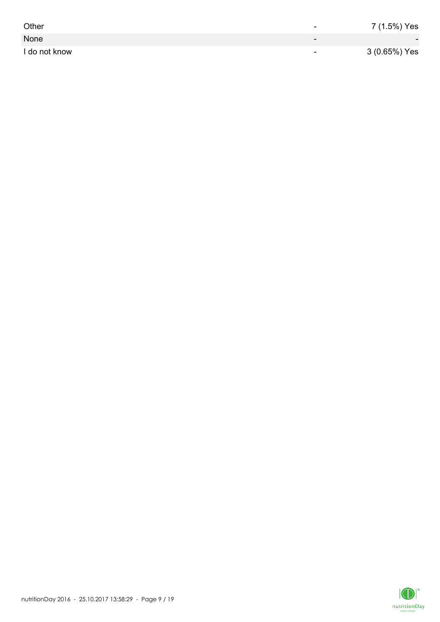| Other         | -                        | 7 (1.5%) Yes             |
|---------------|--------------------------|--------------------------|
| None          | $\overline{\phantom{0}}$ | $\overline{\phantom{0}}$ |
| I do not know | $\overline{\phantom{0}}$ | 3 (0.65%) Yes            |

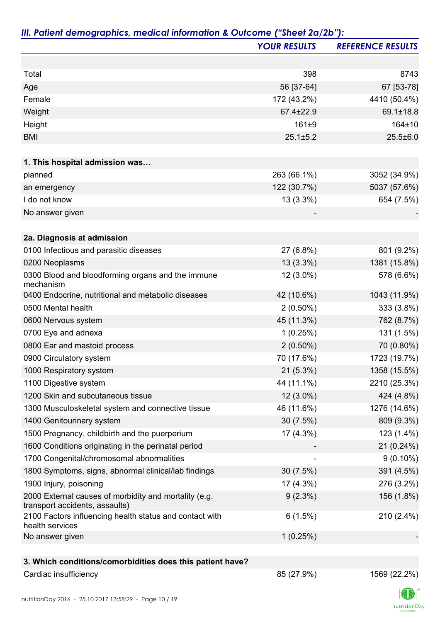|                                                                                         | <b>YOUR RESULTS</b> | <b>REFERENCE RESULTS</b> |
|-----------------------------------------------------------------------------------------|---------------------|--------------------------|
|                                                                                         |                     |                          |
| Total                                                                                   | 398                 | 8743                     |
| Age                                                                                     | 56 [37-64]          | 67 [53-78]               |
| Female                                                                                  | 172 (43.2%)         | 4410 (50.4%)             |
| Weight                                                                                  | 67.4±22.9           | 69.1±18.8                |
| Height                                                                                  | $161 + 9$           | 164±10                   |
| <b>BMI</b>                                                                              | $25.1 \pm 5.2$      | $25.5 \pm 6.0$           |
|                                                                                         |                     |                          |
| 1. This hospital admission was                                                          |                     |                          |
| planned                                                                                 | 263 (66.1%)         | 3052 (34.9%)             |
| an emergency                                                                            | 122 (30.7%)         | 5037 (57.6%)             |
| I do not know                                                                           | $13(3.3\%)$         | 654 (7.5%)               |
| No answer given                                                                         |                     |                          |
| 2a. Diagnosis at admission                                                              |                     |                          |
| 0100 Infectious and parasitic diseases                                                  | 27 (6.8%)           | 801 (9.2%)               |
| 0200 Neoplasms                                                                          | $13(3.3\%)$         | 1381 (15.8%)             |
| 0300 Blood and bloodforming organs and the immune                                       | 12 (3.0%)           | 578 (6.6%)               |
| mechanism                                                                               |                     |                          |
| 0400 Endocrine, nutritional and metabolic diseases                                      | 42 (10.6%)          | 1043 (11.9%)             |
| 0500 Mental health                                                                      | $2(0.50\%)$         | 333 (3.8%)               |
| 0600 Nervous system                                                                     | 45 (11.3%)          | 762 (8.7%)               |
| 0700 Eye and adnexa                                                                     | 1(0.25%)            | 131 (1.5%)               |
| 0800 Ear and mastoid process                                                            | $2(0.50\%)$         | 70 (0.80%)               |
| 0900 Circulatory system                                                                 | 70 (17.6%)          | 1723 (19.7%)             |
| 1000 Respiratory system                                                                 | $21(5.3\%)$         | 1358 (15.5%)             |
| 1100 Digestive system                                                                   | 44 (11.1%)          | 2210 (25.3%)             |
| 1200 Skin and subcutaneous tissue                                                       | $12(3.0\%)$         | 424 (4.8%)               |
| 1300 Musculoskeletal system and connective tissue                                       | 46 (11.6%)          | 1276 (14.6%)             |
| 1400 Genitourinary system                                                               | 30(7.5%)            | 809 (9.3%)               |
| 1500 Pregnancy, childbirth and the puerperium                                           | 17 (4.3%)           | 123 (1.4%)               |
| 1600 Conditions originating in the perinatal period                                     |                     | $21(0.24\%)$             |
| 1700 Congenital/chromosomal abnormalities                                               |                     | $9(0.10\%)$              |
| 1800 Symptoms, signs, abnormal clinical/lab findings                                    | 30(7.5%)            | 391 (4.5%)               |
| 1900 Injury, poisoning                                                                  | 17 (4.3%)           | 276 (3.2%)               |
| 2000 External causes of morbidity and mortality (e.g.<br>transport accidents, assaults) | $9(2.3\%)$          | 156 (1.8%)               |
| 2100 Factors influencing health status and contact with<br>health services              | 6(1.5%)             | 210 (2.4%)               |
| No answer given                                                                         | 1(0.25%)            |                          |
|                                                                                         |                     |                          |
| 3. Which conditions/comorbidities does this patient have?                               |                     |                          |
| Cardiac insufficiency                                                                   | 85 (27.9%)          | 1569 (22.2%)             |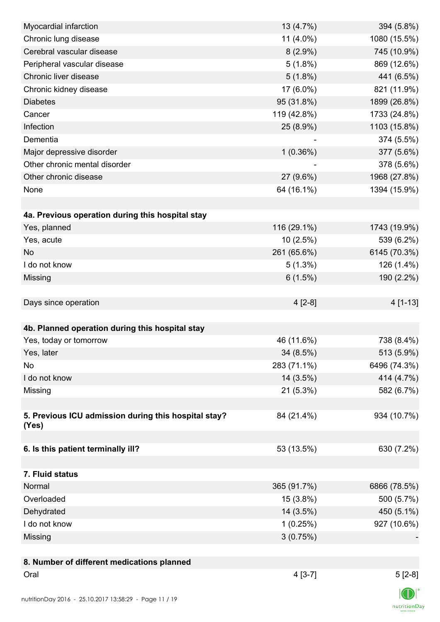| Myocardial infarction                                | 13 (4.7%)   | 394 (5.8%)   |
|------------------------------------------------------|-------------|--------------|
| Chronic lung disease                                 | 11 (4.0%)   | 1080 (15.5%) |
| Cerebral vascular disease                            | $8(2.9\%)$  | 745 (10.9%)  |
| Peripheral vascular disease                          | $5(1.8\%)$  | 869 (12.6%)  |
| Chronic liver disease                                | $5(1.8\%)$  | 441 (6.5%)   |
| Chronic kidney disease                               | 17 (6.0%)   | 821 (11.9%)  |
| <b>Diabetes</b>                                      | 95 (31.8%)  | 1899 (26.8%) |
| Cancer                                               | 119 (42.8%) | 1733 (24.8%) |
| Infection                                            | 25 (8.9%)   | 1103 (15.8%) |
| Dementia                                             |             | 374 (5.5%)   |
| Major depressive disorder                            | 1(0.36%)    | 377 (5.6%)   |
| Other chronic mental disorder                        |             | 378 (5.6%)   |
| Other chronic disease                                | 27 (9.6%)   | 1968 (27.8%) |
| None                                                 | 64 (16.1%)  | 1394 (15.9%) |
|                                                      |             |              |
| 4a. Previous operation during this hospital stay     |             |              |
| Yes, planned                                         | 116 (29.1%) | 1743 (19.9%) |
| Yes, acute                                           | 10(2.5%)    | 539 (6.2%)   |
| <b>No</b>                                            | 261 (65.6%) | 6145 (70.3%) |
| I do not know                                        | $5(1.3\%)$  | 126 (1.4%)   |
| Missing                                              | 6(1.5%)     | 190 (2.2%)   |
|                                                      |             |              |
| Days since operation                                 | $4[2-8]$    | 4 [1-13]     |
|                                                      |             |              |
| 4b. Planned operation during this hospital stay      |             |              |
| Yes, today or tomorrow                               | 46 (11.6%)  | 738 (8.4%)   |
| Yes, later                                           | 34(8.5%)    | 513 (5.9%)   |
| No                                                   | 283 (71.1%) | 6496 (74.3%) |
| I do not know                                        | 14 (3.5%)   | 414 (4.7%)   |
| Missing                                              | $21(5.3\%)$ | 582 (6.7%)   |
|                                                      |             |              |
| 5. Previous ICU admission during this hospital stay? | 84 (21.4%)  | 934 (10.7%)  |
| (Yes)                                                |             |              |
|                                                      |             |              |
| 6. Is this patient terminally ill?                   | 53 (13.5%)  | 630 (7.2%)   |
|                                                      |             |              |
| 7. Fluid status                                      |             |              |
| Normal                                               | 365 (91.7%) | 6866 (78.5%) |
| Overloaded                                           | $15(3.8\%)$ | 500 (5.7%)   |
| Dehydrated                                           | 14 (3.5%)   | 450 (5.1%)   |
| I do not know                                        | 1(0.25%)    | 927 (10.6%)  |
| Missing                                              | 3(0.75%)    |              |
|                                                      |             |              |
| 8. Number of different medications planned           |             |              |
| Oral                                                 | $4[3-7]$    | $5[2-8]$     |
|                                                      |             |              |
|                                                      |             |              |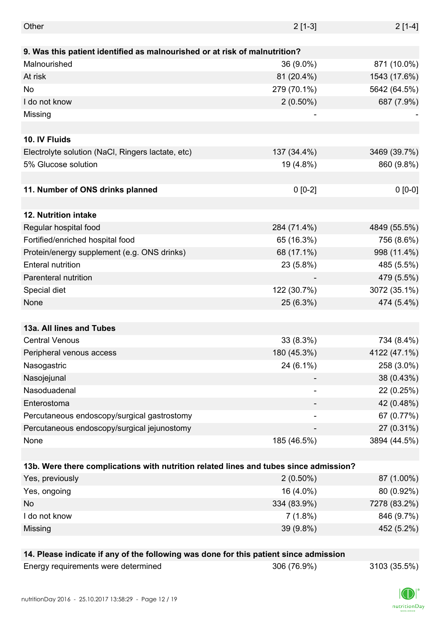| Other                                                                                 | $2[1-3]$    | $2[1-4]$     |
|---------------------------------------------------------------------------------------|-------------|--------------|
|                                                                                       |             |              |
| 9. Was this patient identified as malnourished or at risk of malnutrition?            |             |              |
| Malnourished                                                                          | 36 (9.0%)   | 871 (10.0%)  |
| At risk                                                                               | 81 (20.4%)  | 1543 (17.6%) |
| No                                                                                    | 279 (70.1%) | 5642 (64.5%) |
| I do not know                                                                         | $2(0.50\%)$ | 687 (7.9%)   |
| Missing                                                                               |             |              |
|                                                                                       |             |              |
| 10. IV Fluids                                                                         |             |              |
| Electrolyte solution (NaCl, Ringers lactate, etc)                                     | 137 (34.4%) | 3469 (39.7%) |
| 5% Glucose solution                                                                   | 19 (4.8%)   | 860 (9.8%)   |
|                                                                                       |             |              |
| 11. Number of ONS drinks planned                                                      | $0 [0-2]$   | $0 [0-0]$    |
|                                                                                       |             |              |
| 12. Nutrition intake                                                                  |             |              |
| Regular hospital food                                                                 | 284 (71.4%) | 4849 (55.5%) |
| Fortified/enriched hospital food                                                      | 65 (16.3%)  | 756 (8.6%)   |
| Protein/energy supplement (e.g. ONS drinks)                                           | 68 (17.1%)  | 998 (11.4%)  |
| <b>Enteral nutrition</b>                                                              | 23 (5.8%)   | 485 (5.5%)   |
| Parenteral nutrition                                                                  |             | 479 (5.5%)   |
| Special diet                                                                          | 122 (30.7%) | 3072 (35.1%) |
| None                                                                                  | 25 (6.3%)   | 474 (5.4%)   |
|                                                                                       |             |              |
| 13a. All lines and Tubes                                                              |             |              |
| <b>Central Venous</b>                                                                 | 33 (8.3%)   | 734 (8.4%)   |
| Peripheral venous access                                                              | 180 (45.3%) | 4122 (47.1%) |
| Nasogastric                                                                           | 24 (6.1%)   | 258 (3.0%)   |
| Nasojejunal                                                                           |             | 38 (0.43%)   |
| Nasoduadenal                                                                          |             | 22 (0.25%)   |
| Enterostoma                                                                           |             | 42 (0.48%)   |
| Percutaneous endoscopy/surgical gastrostomy                                           |             | 67 (0.77%)   |
| Percutaneous endoscopy/surgical jejunostomy                                           |             | 27 (0.31%)   |
| None                                                                                  | 185 (46.5%) | 3894 (44.5%) |
|                                                                                       |             |              |
| 13b. Were there complications with nutrition related lines and tubes since admission? |             |              |
| Yes, previously                                                                       | $2(0.50\%)$ | 87 (1.00%)   |
| Yes, ongoing                                                                          | 16 (4.0%)   | 80 (0.92%)   |
| No                                                                                    | 334 (83.9%) | 7278 (83.2%) |
| I do not know                                                                         | $7(1.8\%)$  | 846 (9.7%)   |
| Missing                                                                               | 39 (9.8%)   | 452 (5.2%)   |
|                                                                                       |             |              |
| 14. Please indicate if any of the following was done for this patient since admission |             |              |

ed 306 (76.9%) 3103 (35.5%)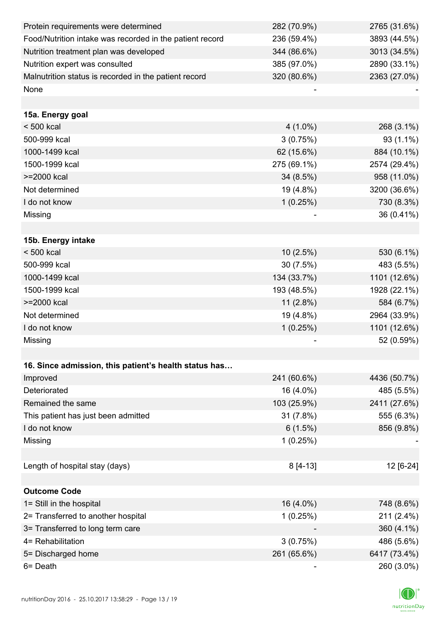| Protein requirements were determined                     | 282 (70.9%) | 2765 (31.6%) |
|----------------------------------------------------------|-------------|--------------|
| Food/Nutrition intake was recorded in the patient record | 236 (59.4%) | 3893 (44.5%) |
| Nutrition treatment plan was developed                   | 344 (86.6%) | 3013 (34.5%) |
| Nutrition expert was consulted                           | 385 (97.0%) | 2890 (33.1%) |
| Malnutrition status is recorded in the patient record    | 320 (80.6%) | 2363 (27.0%) |
| None                                                     |             |              |
|                                                          |             |              |
| 15a. Energy goal                                         |             |              |
| $< 500$ kcal                                             | $4(1.0\%)$  | 268 (3.1%)   |
| 500-999 kcal                                             | 3(0.75%)    | $93(1.1\%)$  |
| 1000-1499 kcal                                           | 62 (15.6%)  | 884 (10.1%)  |
| 1500-1999 kcal                                           | 275 (69.1%) | 2574 (29.4%) |
| >=2000 kcal                                              | 34 (8.5%)   | 958 (11.0%)  |
| Not determined                                           | 19 (4.8%)   | 3200 (36.6%) |
| I do not know                                            | 1(0.25%)    | 730 (8.3%)   |
| Missing                                                  |             | 36 (0.41%)   |
|                                                          |             |              |
| 15b. Energy intake                                       |             |              |
| $< 500$ kcal                                             | 10(2.5%)    | 530 (6.1%)   |
| 500-999 kcal                                             | 30 (7.5%)   | 483 (5.5%)   |
| 1000-1499 kcal                                           | 134 (33.7%) | 1101 (12.6%) |
| 1500-1999 kcal                                           | 193 (48.5%) | 1928 (22.1%) |
| >=2000 kcal                                              | $11(2.8\%)$ | 584 (6.7%)   |
| Not determined                                           | 19 (4.8%)   | 2964 (33.9%) |
| I do not know                                            | 1(0.25%)    | 1101 (12.6%) |
| Missing                                                  |             | 52 (0.59%)   |
|                                                          |             |              |
| 16. Since admission, this patient's health status has    |             |              |
| Improved                                                 | 241 (60.6%) | 4436 (50.7%) |
| Deteriorated                                             | 16 (4.0%)   | 485 (5.5%)   |
| Remained the same                                        | 103 (25.9%) | 2411 (27.6%) |
| This patient has just been admitted                      | 31 (7.8%)   | 555 (6.3%)   |
| I do not know                                            | 6(1.5%)     | 856 (9.8%)   |
| Missing                                                  | 1(0.25%)    |              |
|                                                          |             |              |
| Length of hospital stay (days)                           | $8[4-13]$   | 12 [6-24]    |
|                                                          |             |              |
| <b>Outcome Code</b>                                      |             |              |
| 1= Still in the hospital                                 | 16 (4.0%)   | 748 (8.6%)   |
| 2= Transferred to another hospital                       | 1(0.25%)    | 211 (2.4%)   |
| 3= Transferred to long term care                         |             | 360 (4.1%)   |
| 4= Rehabilitation                                        | 3(0.75%)    | 486 (5.6%)   |
| 5= Discharged home                                       | 261 (65.6%) | 6417 (73.4%) |
| 6= Death                                                 |             | 260 (3.0%)   |

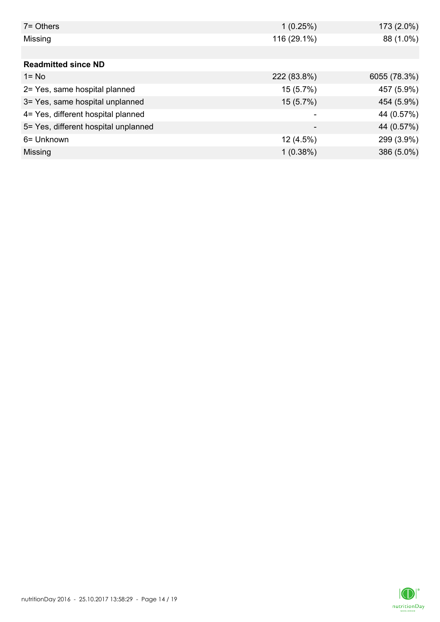| $7 =$ Others                         | 1(0.25%)    | 173 (2.0%)   |
|--------------------------------------|-------------|--------------|
| Missing                              | 116 (29.1%) | 88 (1.0%)    |
|                                      |             |              |
| <b>Readmitted since ND</b>           |             |              |
| $1 = No$                             | 222 (83.8%) | 6055 (78.3%) |
| 2= Yes, same hospital planned        | 15 (5.7%)   | 457 (5.9%)   |
| 3= Yes, same hospital unplanned      | 15(5.7%)    | 454 (5.9%)   |
| 4= Yes, different hospital planned   |             | 44 (0.57%)   |
| 5= Yes, different hospital unplanned |             | 44 (0.57%)   |
| 6= Unknown                           | 12(4.5%)    | 299 (3.9%)   |
| Missing                              | $1(0.38\%)$ | 386 (5.0%)   |

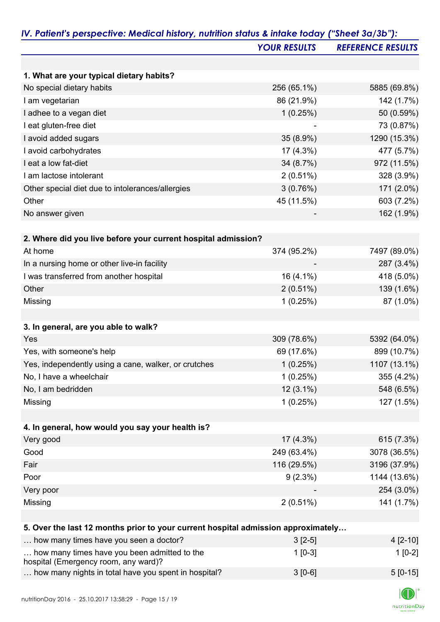| 1. What are your typical dietary habits?<br>No special dietary habits<br>I am vegetarian<br>I adhee to a vegan diet | 256 (65.1%)<br>86 (21.9%)<br>1(0.25%)<br>35 (8.9%)<br>17 (4.3%)<br>34 (8.7%) | 5885 (69.8%)<br>142 (1.7%)<br>50 (0.59%)<br>73 (0.87%)<br>1290 (15.3%)<br>477 (5.7%) |
|---------------------------------------------------------------------------------------------------------------------|------------------------------------------------------------------------------|--------------------------------------------------------------------------------------|
|                                                                                                                     |                                                                              |                                                                                      |
|                                                                                                                     |                                                                              |                                                                                      |
|                                                                                                                     |                                                                              |                                                                                      |
|                                                                                                                     |                                                                              |                                                                                      |
|                                                                                                                     |                                                                              |                                                                                      |
| I eat gluten-free diet                                                                                              |                                                                              |                                                                                      |
| I avoid added sugars                                                                                                |                                                                              |                                                                                      |
| I avoid carbohydrates                                                                                               |                                                                              |                                                                                      |
| I eat a low fat-diet                                                                                                |                                                                              | 972 (11.5%)                                                                          |
| I am lactose intolerant                                                                                             | 2(0.51%)                                                                     | 328 (3.9%)                                                                           |
| Other special diet due to intolerances/allergies                                                                    | 3(0.76%)                                                                     | 171 (2.0%)                                                                           |
| Other                                                                                                               | 45 (11.5%)                                                                   | 603 (7.2%)                                                                           |
| No answer given                                                                                                     |                                                                              | 162 (1.9%)                                                                           |
|                                                                                                                     |                                                                              |                                                                                      |
| 2. Where did you live before your current hospital admission?                                                       |                                                                              |                                                                                      |
| At home                                                                                                             | 374 (95.2%)                                                                  | 7497 (89.0%)                                                                         |
| In a nursing home or other live-in facility                                                                         |                                                                              | 287 (3.4%)                                                                           |
| I was transferred from another hospital                                                                             | 16 (4.1%)                                                                    | 418 (5.0%)                                                                           |
| Other                                                                                                               | 2(0.51%)                                                                     | 139 (1.6%)                                                                           |
| Missing                                                                                                             | 1(0.25%)                                                                     | 87 (1.0%)                                                                            |
| 3. In general, are you able to walk?                                                                                |                                                                              |                                                                                      |
|                                                                                                                     |                                                                              |                                                                                      |
| Yes                                                                                                                 | 309 (78.6%)                                                                  | 5392 (64.0%)                                                                         |
| Yes, with someone's help                                                                                            | 69 (17.6%)                                                                   | 899 (10.7%)                                                                          |
| Yes, independently using a cane, walker, or crutches                                                                | 1(0.25%)                                                                     | 1107 (13.1%)                                                                         |
| No, I have a wheelchair                                                                                             | 1(0.25%)                                                                     | 355 (4.2%)                                                                           |
| No, I am bedridden                                                                                                  | $12(3.1\%)$                                                                  | 548 (6.5%)                                                                           |
| Missing                                                                                                             | 1(0.25%)                                                                     | 127 (1.5%)                                                                           |
| 4. In general, how would you say your health is?                                                                    |                                                                              |                                                                                      |
| Very good                                                                                                           |                                                                              | 615 (7.3%)                                                                           |
|                                                                                                                     | $17(4.3\%)$                                                                  |                                                                                      |
| Good                                                                                                                | 249 (63.4%)                                                                  | 3078 (36.5%)                                                                         |
| Fair                                                                                                                | 116 (29.5%)                                                                  | 3196 (37.9%)                                                                         |
| Poor                                                                                                                | $9(2.3\%)$                                                                   | 1144 (13.6%)                                                                         |
| Very poor                                                                                                           |                                                                              | 254 (3.0%)                                                                           |
| Missing                                                                                                             | 2(0.51%)                                                                     | 141 (1.7%)                                                                           |
| 5. Over the last 12 months prior to your current hospital admission approximately                                   |                                                                              |                                                                                      |
| how many times have you seen a doctor?                                                                              | $3[2-5]$                                                                     | 4 [2-10]                                                                             |
| how many times have you been admitted to the                                                                        | $1[0-3]$                                                                     | $1[0-2]$                                                                             |

... how many nights in total have you spent in hospital? 3 [0-6] 3 [0-6]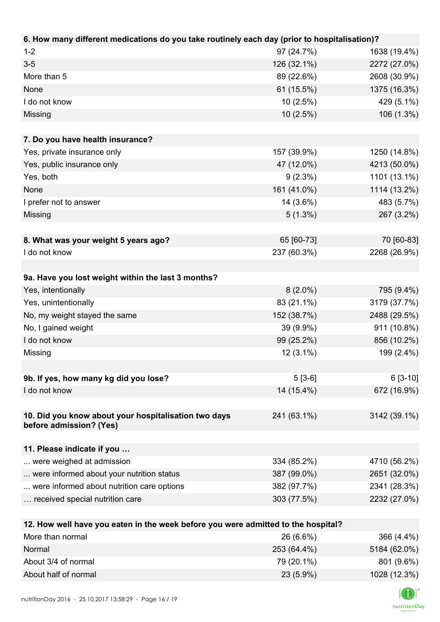| 6. How many different medications do you take routinely each day (prior to hospitalisation)? |             |              |
|----------------------------------------------------------------------------------------------|-------------|--------------|
| $1 - 2$                                                                                      | 97 (24.7%)  | 1638 (19.4%) |
| $3-5$                                                                                        | 126 (32.1%) | 2272 (27.0%) |
| More than 5                                                                                  | 89 (22.6%)  | 2608 (30.9%) |
| None                                                                                         | 61 (15.5%)  | 1375 (16.3%) |
| I do not know                                                                                | 10(2.5%)    | 429 (5.1%)   |
| Missing                                                                                      | 10(2.5%)    | 106 (1.3%)   |
|                                                                                              |             |              |
| 7. Do you have health insurance?                                                             |             |              |
| Yes, private insurance only                                                                  | 157 (39.9%) | 1250 (14.8%) |
| Yes, public insurance only                                                                   | 47 (12.0%)  | 4213 (50.0%) |
| Yes, both                                                                                    | $9(2.3\%)$  | 1101 (13.1%) |
| None                                                                                         | 161 (41.0%) | 1114 (13.2%) |
| I prefer not to answer                                                                       | 14 (3.6%)   | 483 (5.7%)   |
| Missing                                                                                      | $5(1.3\%)$  | 267 (3.2%)   |
|                                                                                              |             |              |
| 8. What was your weight 5 years ago?                                                         | 65 [60-73]  | 70 [60-83]   |
| I do not know                                                                                | 237 (60.3%) | 2268 (26.9%) |
|                                                                                              |             |              |
| 9a. Have you lost weight within the last 3 months?                                           |             |              |
| Yes, intentionally                                                                           | $8(2.0\%)$  | 795 (9.4%)   |
| Yes, unintentionally                                                                         | 83 (21.1%)  | 3179 (37.7%) |
| No, my weight stayed the same                                                                | 152 (38.7%) | 2488 (29.5%) |
| No, I gained weight                                                                          | 39 (9.9%)   | 911 (10.8%)  |
| I do not know                                                                                | 99 (25.2%)  | 856 (10.2%)  |
| Missing                                                                                      | $12(3.1\%)$ | 199 (2.4%)   |
|                                                                                              |             |              |
| 9b. If yes, how many kg did you lose?                                                        | $5[3-6]$    | $6[3-10]$    |
| I do not know                                                                                | 14 (15.4%)  | 672 (16.9%)  |
|                                                                                              |             |              |
| 10. Did you know about your hospitalisation two days<br>before admission? (Yes)              | 241 (63.1%) | 3142 (39.1%) |
|                                                                                              |             |              |
| 11. Please indicate if you                                                                   |             |              |
| were weighed at admission                                                                    | 334 (85.2%) | 4710 (56.2%) |
| were informed about your nutrition status                                                    | 387 (99.0%) | 2651 (32.0%) |
| were informed about nutrition care options                                                   | 382 (97.7%) | 2341 (28.3%) |
| received special nutrition care                                                              | 303 (77.5%) | 2232 (27.0%) |
|                                                                                              |             |              |
| 12. How well have you eaten in the week before you were admitted to the hospital?            |             |              |
| More than normal                                                                             | 26 (6.6%)   | 366 (4.4%)   |

| 253 (64.4%) | 5184 (62.0%) |
|-------------|--------------|
| 79 (20.1%)  | 801 (9.6%)   |
| $23(5.9\%)$ | 1028 (12.3%) |
|             |              |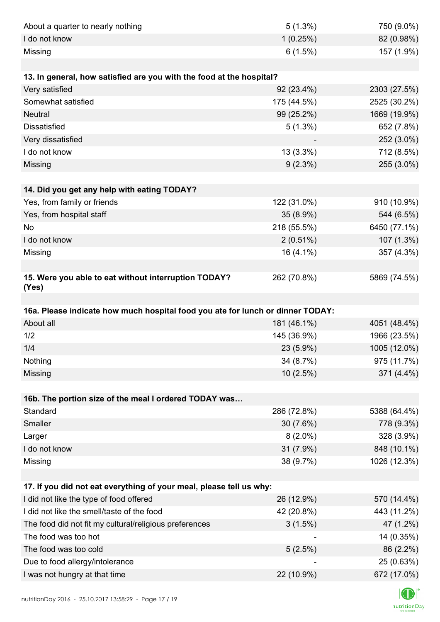| About a quarter to nearly nothing                                              | $5(1.3\%)$  | 750 (9.0%)   |
|--------------------------------------------------------------------------------|-------------|--------------|
| I do not know                                                                  | 1(0.25%)    | 82 (0.98%)   |
| Missing                                                                        | 6(1.5%)     | 157 (1.9%)   |
|                                                                                |             |              |
| 13. In general, how satisfied are you with the food at the hospital?           |             |              |
| Very satisfied                                                                 | 92 (23.4%)  | 2303 (27.5%) |
| Somewhat satisfied                                                             | 175 (44.5%) | 2525 (30.2%) |
| <b>Neutral</b>                                                                 | 99 (25.2%)  | 1669 (19.9%) |
| <b>Dissatisfied</b>                                                            | $5(1.3\%)$  | 652 (7.8%)   |
| Very dissatisfied                                                              |             | 252 (3.0%)   |
| I do not know                                                                  | 13 (3.3%)   | 712 (8.5%)   |
| Missing                                                                        | $9(2.3\%)$  | 255 (3.0%)   |
|                                                                                |             |              |
| 14. Did you get any help with eating TODAY?                                    |             |              |
| Yes, from family or friends                                                    | 122 (31.0%) | 910 (10.9%)  |
| Yes, from hospital staff                                                       | 35 (8.9%)   | 544 (6.5%)   |
| No                                                                             | 218 (55.5%) | 6450 (77.1%) |
| I do not know                                                                  | $2(0.51\%)$ | 107 (1.3%)   |
| Missing                                                                        | 16 (4.1%)   | 357 (4.3%)   |
|                                                                                |             |              |
| 15. Were you able to eat without interruption TODAY?<br>(Yes)                  | 262 (70.8%) | 5869 (74.5%) |
|                                                                                |             |              |
| 16a. Please indicate how much hospital food you ate for lunch or dinner TODAY: |             |              |
| About all                                                                      | 181 (46.1%) | 4051 (48.4%) |
| 1/2                                                                            | 145 (36.9%) | 1966 (23.5%) |
| 1/4                                                                            | 23 (5.9%)   | 1005 (12.0%) |
| Nothing                                                                        | 34 (8.7%)   | 975 (11.7%)  |
| Missing                                                                        | 10(2.5%)    | 371 (4.4%)   |
|                                                                                |             |              |
| 16b. The portion size of the meal I ordered TODAY was                          |             |              |
| Standard                                                                       | 286 (72.8%) | 5388 (64.4%) |
| Smaller                                                                        | 30 (7.6%)   | 778 (9.3%)   |
| Larger                                                                         | $8(2.0\%)$  | 328 (3.9%)   |
| I do not know                                                                  | 31 (7.9%)   | 848 (10.1%)  |
| Missing                                                                        | 38 (9.7%)   | 1026 (12.3%) |
|                                                                                |             |              |
| 17. If you did not eat everything of your meal, please tell us why:            |             |              |
| I did not like the type of food offered                                        | 26 (12.9%)  | 570 (14.4%)  |
| I did not like the smell/taste of the food                                     | 42 (20.8%)  | 443 (11.2%)  |
| The food did not fit my cultural/religious preferences                         | 3(1.5%)     | 47 (1.2%)    |
| The food was too hot                                                           |             | 14 (0.35%)   |
| The food was too cold                                                          | 5(2.5%)     | 86 (2.2%)    |
| Due to food allergy/intolerance                                                |             | 25 (0.63%)   |
| I was not hungry at that time                                                  | 22 (10.9%)  | 672 (17.0%)  |
|                                                                                |             |              |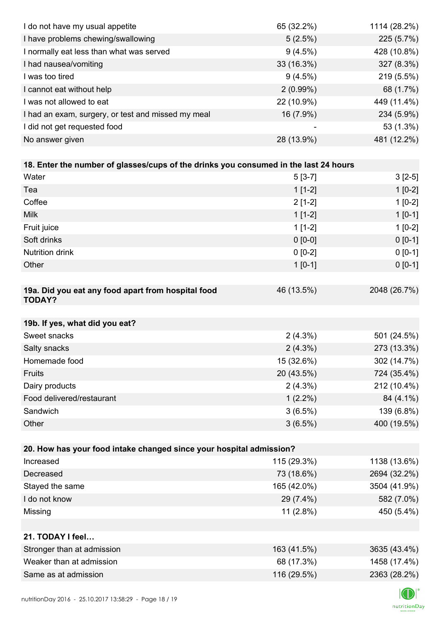| I do not have my usual appetite                                                      | 65 (32.2%)  | 1114 (28.2%) |
|--------------------------------------------------------------------------------------|-------------|--------------|
| I have problems chewing/swallowing                                                   | 5(2.5%)     | 225 (5.7%)   |
| I normally eat less than what was served                                             | 9(4.5%)     | 428 (10.8%)  |
| I had nausea/vomiting                                                                | 33 (16.3%)  | 327 (8.3%)   |
| I was too tired                                                                      | 9(4.5%)     | 219 (5.5%)   |
| I cannot eat without help                                                            | $2(0.99\%)$ | 68 (1.7%)    |
| I was not allowed to eat                                                             | 22 (10.9%)  | 449 (11.4%)  |
| I had an exam, surgery, or test and missed my meal                                   | 16 (7.9%)   | 234 (5.9%)   |
| I did not get requested food                                                         |             | 53 (1.3%)    |
| No answer given                                                                      | 28 (13.9%)  | 481 (12.2%)  |
|                                                                                      |             |              |
| 18. Enter the number of glasses/cups of the drinks you consumed in the last 24 hours |             |              |
| Water                                                                                | $5[3-7]$    | $3[2-5]$     |
| Tea                                                                                  | $1[1-2]$    | $1[0-2]$     |
| Coffee                                                                               | $2[1-2]$    | $1[0-2]$     |
| <b>Milk</b>                                                                          | $1[1-2]$    | $1[0-1]$     |
| Fruit juice                                                                          | $1[1-2]$    | $1[0-2]$     |
| Soft drinks                                                                          | $0 [0-0]$   | $0 [0-1]$    |
| Nutrition drink                                                                      | $0 [0-2]$   | $0[0-1]$     |
| Other                                                                                | $1[0-1]$    | $0 [0-1]$    |
|                                                                                      |             |              |
| 19a. Did you eat any food apart from hospital food<br><b>TODAY?</b>                  | 46 (13.5%)  | 2048 (26.7%) |
|                                                                                      |             |              |
| 19b. If yes, what did you eat?                                                       |             |              |
| Sweet snacks                                                                         | $2(4.3\%)$  | 501 (24.5%)  |
| Salty snacks                                                                         | $2(4.3\%)$  | 273 (13.3%)  |
| Homemade food                                                                        | 15 (32.6%)  | 302 (14.7%)  |
| Fruits                                                                               | 20 (43.5%)  | 724 (35.4%)  |
| Dairy products                                                                       | $2(4.3\%)$  | 212 (10.4%)  |
| Food delivered/restaurant                                                            | $1(2.2\%)$  | 84 (4.1%)    |
| Sandwich                                                                             | 3(6.5%)     | 139 (6.8%)   |
| Other                                                                                | 3(6.5%)     | 400 (19.5%)  |
|                                                                                      |             |              |
| 20. How has your food intake changed since your hospital admission?                  |             |              |
| Increased                                                                            | 115 (29.3%) | 1138 (13.6%) |
| Decreased                                                                            | 73 (18.6%)  | 2694 (32.2%) |
| Stayed the same                                                                      | 165 (42.0%) | 3504 (41.9%) |
| I do not know                                                                        | 29 (7.4%)   | 582 (7.0%)   |
| Missing                                                                              | $11(2.8\%)$ | 450 (5.4%)   |
|                                                                                      |             |              |
| 21. TODAY I feel                                                                     |             |              |
| Stronger than at admission                                                           | 163 (41.5%) | 3635 (43.4%) |
| Weaker than at admission                                                             | 68 (17.3%)  | 1458 (17.4%) |
| Same as at admission                                                                 | 116 (29.5%) | 2363 (28.2%) |